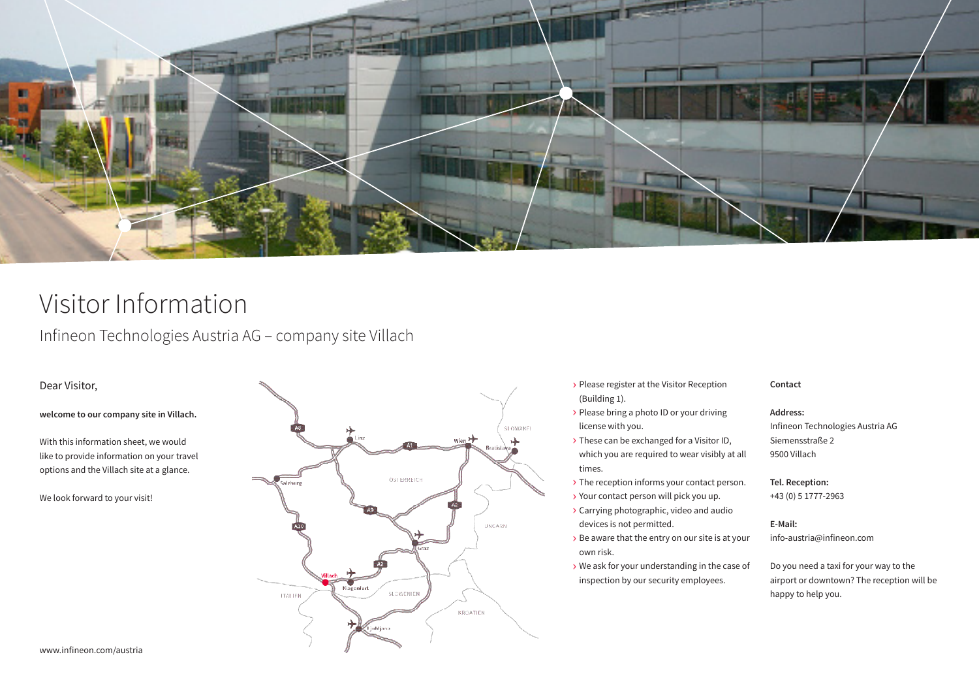

# Visitor Information

Besucherinformationen  $I_{\text{p}}$  and  $I_{\text{p}}$  are  $I_{\text{r}}$ Infineon Technologies Austria AG – company site Villach

## Dear Visitor,

**welcome to our company site in Villach.**

With this information sheet, we would like to provide information on your travel options and the Villach site at a glance.

We look forward to your visit!



- › Please register at the Visitor Reception (Building 1).
- › Please bring a photo ID or your driving license with you.
- > These can be exchanged for a Visitor ID, which you are required to wear visibly at all times.
- > The reception informs your contact person.
- › Your contact person will pick you up.
- › Carrying photographic, video and audio devices is not permitted.
- › Be aware that the entry on our site is at your own risk.
- › We ask for your understanding in the case of inspection by our security employees.

## **Contact**

## **Address:**

Infineon Technologies Austria AG Siemensstraße 2 Gegen Vorweis des Lichtbildausweises erhalten 9500 Villach

## bitte immer deutlich sichtbar tragen. **Tel. Reception:**

+43 (0) 5 1777-2963

## **E-Mail:**

info-austria@infineon.com

Do you need a taxi for your way to the airport or downtown? The reception will be happy to help you.